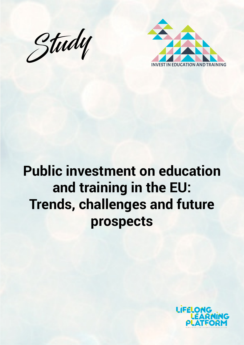



# **Public investment on education and training in the EU: Trends, challenges and future prospects**

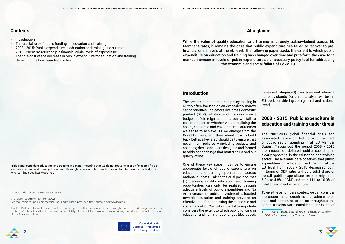**At a glance**

While the value of quality education and training is strongly acknowledged across EU Member States, it remains the case that public expenditure has failed to recover to prefinancial crisis levels at the EU level. The following paper tracks the extent to which public expenditure on education and training has changed over time and puts forth the case for a marked increase in levels of public expenditure as a necessary policy tool for addressing the economic and social fallout of Covid-19.

Authors: Alex O'Cuinn, Andrea Lapegna

© Lifelong Learning Platform 2022 Reproduction for non-commercial use is authorised provided the source is acknowledged.

The LLLPlatform benefits from the financial support of the European Union through the Erasmus+ Programme. The content of this publication is the sole responsibility of the LLLPlatform and can in no way be taken to reflect the views of the European Union.



Co-funded by the Erasmus+ Programme **2 3** 

### **Contents**

- **Introduction**
- The crucial role of public funding in education and training
- 2008 2015: Public expenditure in education and training under threat
- 2016 2020: No return to pre financial crisis levels of expenditure
- The true cost of the decrease in public expenditure for education and training
- **Re-writing the European fiscal rules**

The 2007-2008 global financial crisis and associated recession led to a curtailment of public sector spending in all EU Member States. Throughout the period 2008 - 2015 the impact of deflated public spending is clearly apparent in the education and training sector. The available data observes that public expenditure on education and training at the EU level from 2008 - 2015 decreased both in terms of GDP ratio and as a total share of overall public expenditure respectively: from 5.2% to 4.8% of GDP and from 11% to 10.3% of total government expenditure<sup>1</sup>.

## **Introduction**

The predominant approach to policy making is all too often focused on an excessively narrow set of priorities. Indicators like gross domestic product (GDP), inflation and the government budget deficit reign supreme, but we fail to call into question whether we are realising the social, economic and environmental outcomes we aspire to achieve. As we emerge from the Covid-19 crisis, and think about how to build back better, a key step should be to ensure that government policies – including budgets and spending decisions — are designed and formed to address the things that matter to us and our quality of life.

One of these key steps must be to ensure appropriate levels of public expenditure on education and training opportunities across national budgets. Taking the dual position that (1) Securing quality education and training opportunities can only be realised through adequate levels of public expenditure and (2) An increase in public investment allocated towards education and training provides an effective tool for addressing the economic and social fallout of Covid-19 - the following study considers the extent to which public funding in educationandtraininghaschanged(decreased,



increased, stagnated) over time and where it currently stands. Our unit of analysis will be the EU level, considering both general and national trends.

# **2008 - 2015: Public expenditure in education and training under threat**

To give these numbers context we can consider the proportion of countries that administered cuts and continued to do so throughout the period. It is also worth considering the extent of

<sup>1</sup> [Government expenditure on education, total \(%](https://presidence-francaise.consilium.europa.eu/en/news/main-results-of-the-education-youth-culture-and-sport-council-4-5-04-education-and-youth/)  [of GDP\) - European Union, The World Ban](https://presidence-francaise.consilium.europa.eu/en/news/main-results-of-the-education-youth-culture-and-sport-council-4-5-04-education-and-youth/)k.



\*This paper considers education and training in general, meaning that we do not focus on a specific sector, field or level of education and training. For a more thorough overview of how public expenditure fares in the context of lifelong learning specifically see [here](https://lllplatform.eu/news/funding-lifelong-learning-from-cradle-to-grave/).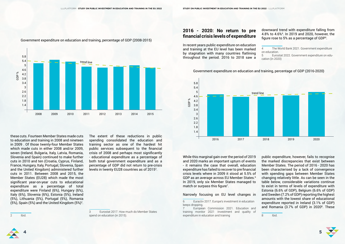[European Commission 2021. Education and](https://op.europa.eu/webpub/eac/education-and-training-monitor-2021/en/chapters/chapter3.html) [training monitor 2021 :Investment and quality of](https://op.europa.eu/webpub/eac/education-and-training-monitor-2021/en/chapters/chapter3.html) [expenditure in education and training](https://op.europa.eu/webpub/eac/education-and-training-monitor-2021/en/chapters/chapter3.html)



these cuts. Fourteen Member States made cuts to education and training in 2008 and nineteen in 2009 . Of those twenty-four Member States which made cuts in either 2008 and/or 2009, seven (Ireland, Bulgaria, Italy, Latvia, Romania, Slovenia and Spain) continued to make further cuts in 2010 and ten (Croatia, Cyprus, Finland, France, Hungary, Italy, Portugal, Slovenia, Spain and the United Kingdom) administered further cuts in 2011. Between 2008 and 2015, the Member States (EU28) which made the most significant year-on-year cuts to educational expenditure as a percentage of total expenditure were Finland (6%), Hungary (6%), Italy (6%), Slovenia (6%), Estonia (5%), Ireland (5%), Lithuania (5%), Portugal (5%), Romania  $(5%)$ , Spain  $(5%)$  and the United Kingdom  $(5%)^2$ .

The extent of these reductions in public spending consolidated the education and training sector as one of the hardest hit public services subsequent to the financial crisis of 2008 and perhaps most significantly - educational expenditure as a percentage of both total government expenditure and as a percentage of GDP did not return to pre-crisis levels in twenty EU28 countries as of 2015<sup>3</sup>.

### downward trend with expenditure falling from 4.8% to 4.6%4 . In 2019 and 2020, however, the figure rose to 5% as a percentage of GDP<sup>5</sup>.

2 Ibid.

While this marginal gain over the period of 2019 and 2020 marks an important upturn of events - it remains the case that overall, education expenditure has failed to recoverto pre financial crisis levels where in 2009 it stood at 5.5% of GDP as an average across EU Member States.<sup>6</sup> In 2019, only six Member States managed to match or surpass this figure<sup>7</sup>.

3 [Eurostat 2017. How much do Member States](https://ec.europa.eu/eurostat/web/products-eurostat-news/-/DDN-20170828-1#:~:text=In%202015%2C%20over%20%E2%82%AC716,%25)%20of%20the%20EU)  [spend on education \(in 2015\).](https://ec.europa.eu/eurostat/web/products-eurostat-news/-/DDN-20170828-1#:~:text=In%202015%2C%20over%20%E2%82%AC716,%25)%20of%20the%20EU)

public expenditure, however, fails to recognise the marked discrepancies that exist between Member States. The period of 2016 - 2020 has been characterised by a lack of convergence with spending gaps between Member States changing relatively little. As can be seen in the table below, considerable variations continue to exist in terms of levels of expenditure with Estonia (6.6% of GDP), Belgium (6.6% of GDP) and Sweden (7.2% of GDP) reporting the highest amounts with the lowest share of educational expenditure reported in Ireland (3.1% of GDP) and Romania (3.7% of GDP) in 2020<sup>8</sup>. These

# **2016 - 2020: No return to pre financial crisis levels of expenditure**

In recent years public expenditure on education and training at the EU level has been marked by stagnation with many countries flatlining throughout the period. 2016 to 2018 saw a

4 [The World Bank 2021. Government expenditure](https://data.worldbank.org/indicator/SE.XPD.TOTL.GD.ZS?end=2018&locations=EU&start=2016)  [on education.](https://data.worldbank.org/indicator/SE.XPD.TOTL.GD.ZS?end=2018&locations=EU&start=2016)

5 [Eurostat 2022. Government expenditure on edu](https://ec.europa.eu/eurostat/statistics-explained/index.php?title=Government_expenditure_on_education#Expenditure_on_.27education.27)[cation \(in 2020\)](https://ec.europa.eu/eurostat/statistics-explained/index.php?title=Government_expenditure_on_education#Expenditure_on_.27education.27)



Government expenditure on education and training, percentage of GDP (2008-2015)



Government expenditure on education and training, percentage of GDP (2016-2020)

### Narrowly focusing on EU level changes in

```
8 Ibid.
```
<sup>6</sup> [Euractiv 2017. Europe's investment in education](https://www.euractiv.com/section/economy-jobs/news/europes-investment-in-education-keeps-dropping/)  [keeps dropping](https://www.euractiv.com/section/economy-jobs/news/europes-investment-in-education-keeps-dropping/).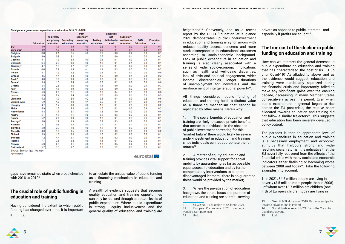|                        | <b>Education</b> | Pre-primary<br>and primary<br>education | <b>Secondary</b><br>education | Post-<br>secondary<br>non-tertiary<br>education | <b>Tertiary</b><br>education | <b>Education</b><br>not<br>definable by<br>level | <b>Subsidiary</b><br>services to<br>education | <b>R&amp;D</b><br><b>Education</b> | <b>Education</b><br>n.e.c. |
|------------------------|------------------|-----------------------------------------|-------------------------------|-------------------------------------------------|------------------------------|--------------------------------------------------|-----------------------------------------------|------------------------------------|----------------------------|
|                        |                  |                                         |                               |                                                 |                              |                                                  |                                               |                                    |                            |
| EU*                    | 5.0              | 1.7                                     | 1.9                           | 0.0                                             | 0.8                          | 0.1                                              | 0.3                                           | 0.0                                | 0.1                        |
| euro area <sup>*</sup> | 4.9              | 1.6                                     | 1.9                           | 0.0                                             | 0.8                          | 0.1                                              | 0.4                                           | 0.0                                | 0.1                        |
| <b>Belgium</b>         | 6.6              | 2.1                                     | 2.5                           | 0.0                                             | 0.9                          | 0.6                                              | 0.2                                           | 0.0                                | 0.1                        |
| <b>Bulgaria</b>        | 4.0              | 0.8                                     | 2.1                           |                                                 | 0.7                          | 0.0                                              | 0.1                                           | 0.0                                | 0.2                        |
| Czechia                | 5.1              | 1.3                                     | 2.3                           | 0.0                                             | 0.8                          | 0.1                                              | 0.2                                           | 0.3                                | 0.1                        |
| <b>Denmark</b>         | 6.4              | 2.9                                     | 1.6                           | 0.0                                             | 1.6                          | 0.1                                              | 0.1                                           | 0.0                                | 0.1                        |
| Germany*               | 4.7              | 1.5                                     | 1.7                           | 0.1                                             | 0.8                          | 0.1                                              | 0.4                                           | 0.0                                | 0.1                        |
| <b>Estonia</b>         | 6.6              | 2.7                                     | 1.8                           | 0.1                                             | 1.1                          | 0.3                                              | 0.3                                           | 0.1                                | 0.2                        |
| Ireland                | 3.1              | 1.3                                     | 1.2                           | 0.0                                             | 0.4                          | 0.1                                              | 0.1                                           | 0.0                                | 0.0                        |
| Greece                 | 4.5              | 1.4                                     | 1.4                           | 0.0                                             | 1.0                          | 0.0                                              | 0.1                                           | 0.4                                | 0.2                        |
| Spain*                 | 4.6              | 1.8                                     | 1.8                           | 0.0                                             | 0.6                          | 0.1                                              | 0.1                                           | 0.1                                | 0.1                        |
| France*                | 5.5              | 1.5                                     | 2.4                           | 0.0                                             | 0.7                          | 0.2                                              | 0.7                                           | 0.0                                | 0.0                        |
| Croatia                | 5.4              | 2.6                                     | 1.0                           | 0.0                                             | 1.1                          | 0.0                                              | 0.3                                           | 0.1                                | 0.3                        |
| Italy*                 | 4.3              | 1.6                                     | 1.9                           | 0.0                                             | 0.3                          | 0.0                                              | 0.2                                           | 0.0                                | 0.1                        |
| Cyprus                 | 5.9              | 2.0                                     | 2.1                           | 0.0                                             | 1.0                          | 0.4                                              | 0.3                                           | 0.0                                | 0.0                        |
| Latvia                 | 5.9              | 2.4                                     | 1.4                           | 0.0                                             | 1.0                          | 0.5                                              | 0.1                                           | 0.1                                | 0.5                        |
| Lithuania              | 5.2              | 1.0                                     | 2.0                           | 0.2                                             | 0.8                          | 0.4                                              | 0.0                                           | 0.2                                | 0.5                        |
| Luxembourg             | 5.0              | 1.8                                     | 1.8                           | 0.1                                             | 0.5                          | 0.4                                              | 0.4                                           | 0.0                                | 0.0                        |
| Hungary                | 4.7              | 1.2                                     | 1.8                           | 0.0                                             | 1.0                          | 0.1                                              | 0.5                                           | 0.0                                | 0.2                        |
| <b>Malta</b>           | 5.9              | 1.5                                     | 2.2                           | 0.0                                             | 1.0                          | 0.2                                              | 0.3                                           | 0.4                                | 0.2                        |
| <b>Netherlands</b>     | 5.3              | 1.7                                     | 2.1                           | 0.0                                             | 1.3                          | 0.0                                              | 0.2                                           | 0.0                                | 0.0                        |
| <b>Austria</b>         | 5.1              | 1.6                                     | 2.1                           | 0.0                                             | 0.8                          | 0.3                                              | 0.2                                           | 0.0                                | 0.1                        |
| Poland                 | 5.2              | 2.4                                     | 1.0                           | 0.0                                             | 1.3                          | 0.1                                              | 0.3                                           | 0.1                                | 0.1                        |
| Portugal*              | 5.0              | 1.7                                     | 1.9                           | 0.0                                             | 0.8                          | 0.3                                              | 0.2                                           | 0.0                                | 0.2                        |
| Romania                | 3.7              | 0.9                                     | 1.5                           | 0.0                                             | 0.7                          | 0.1                                              | 0.1                                           | 0.0                                | 0.3                        |
| Slovenia               | 5.8              | 2.2                                     | 2.0                           | 0.0                                             | 1.2                          | 0.1                                              | 0.2                                           | 0.0                                | 0.1                        |
| Slovakia               | 4.6              | 1.3                                     | 1.5                           | 0.0                                             | 0.6                          | 0.3                                              | 0.5                                           | 0.0                                | 0.2                        |
| <b>Finland</b>         | 5.9              | 1.3                                     | 2.5                           | 0.0                                             | 1.7                          | 0.2                                              | 0.0                                           | 0.0                                | 0.1                        |
| Sweden                 | 7.2              | 4.4                                     | 1.1                           | 0.0                                             | 1.3                          | 0.2                                              | 0.0                                           | 0.0                                | 0.1                        |
| lceland                | 7.7              | 3.5                                     | 2.4                           | 0.0                                             | 1.4                          | 0.1                                              | 0.2                                           | 0.0                                | 0.1                        |
| Norway                 | 5.9              | 2.6                                     | 1.1                           | 0.0                                             | 1.3                          | 0.5                                              | 0.2                                           | 0.0                                | 0.1                        |
| <b>Switzerland</b>     | 5.7              | 1.3                                     | 1.7                           | 0.0                                             | 1.3                          | 1.2                                              | 0.1                                           | 0.1                                | 0.1                        |

gaps have remained static when cross-checked with 2016 to 2019<sup>9</sup>.

Source: Eurostat (gov\_10a\_exp)

\* provisional

# **The crucial role of public funding in education and training**

Having considered the extent to which public funding has changed over time, it is important 9 Ibid.

to articulate the unique value of public funding as a financing mechanism in education and training.

eurostat

A wealth of evidence suggests that securing quality education and training opportunities can only be realised through adequate levels of public expenditure. Where public expenditure is strong - equity, inclusiveness and the general quality of education and training are heightened<sup>10</sup>. Conversely, and as a recent report by the OECD 'Education at a glance 2021' demonstrates - public underinvestment in education and training is synonymous with reduced quality, access concerns and more stark discrepancies in educational outcomes according to socio-economic background. Lack of public expenditure in education and training is also clearly associated with a series of wider socio-economic implications such as health and well-being disparities, lack of civic and political engagement, wider income discrepancies, longer durations of unemployment for individuals and the reinforcement of intergenerational poverty<sup>11</sup>.

1. The social benefits of education and training are likely to exceed private benefits that accrue to individuals. In the absence of public investment correcting for this "market failure" there would likely be severe under-investment in education and training since individuals cannot appropriate the full returns $12$ :

private as opposed to public interests - and especially if profits are sought $13$ .

<sup>10</sup> [OECD 2021. Education at a Glance 2021](https://www.oecd-ilibrary.org/education/education-at-a-glance-2021_b35a14e5-en). 11 [European Commission 2021. Investing in](https://ec.europa.eu/info/sites/default/files/economy-finance/dp139_en.pdf)  [People's Competences.](https://ec.europa.eu/info/sites/default/files/economy-finance/dp139_en.pdf) 12 Ibid.



All things considered, public funding of education and training holds a distinct value as a financing mechanism that cannot be replicated by other means. Here's why:

2. A matter of equity: education and training provides vital support for social mobility by guaranteeing as far as possible equal access to education and by further compensatory interventions to support disadvantaged learners - there is no guarantee these would be provided by the market;

3. Where the privatisation of education has grown, the ethos, focus and purpose of education and training are altered - serving

### **The true cost of the decline in public funding on education and training**

How can we interpret the general decrease in public expenditure on education and training that has characterised the post-crisis EU up until Covid-19? As alluded to above, and as the evidence would suggest, education and training were particularly squeezed during the financial crisis and importantly, failed to make any significant gains over the ensuing decade, decreasing in many Member States consecutively across the period. Even when public expenditure in general began to rise across the EU post-crisis, the relative share allocated towards education and training did not follow a similar trajectory $14$ . This suggests that education has been severely devalued in policy output.

The paradox is that an appropriate level of public expenditure in education and training is a necessary employment and economic stimulus that harbours strong and widereaching social returns. It is indicative that the EU never fully recovered from the effects of the financial crisis with many social and economic indicators either flatlining or becoming worse between 2008 and today<sup>15</sup>. Take the following examples into account:

1. In 2021, 84.5 million people are living in poverty (3.5 million more people than in 2008) - of whom over 18.7 million are children (one fifth of Europe's children today are living in

<sup>13</sup> [Skerritt & Skalokangas 2019. Patterns and paths](http://mural.maynoothuniversity.ie/13732/1/MS_patterns%20and%20paths.pdf)  [towards privatisation in Ireland](http://mural.maynoothuniversity.ie/13732/1/MS_patterns%20and%20paths.pdf) 14 Social Justice Ireland 2021. From the Crash to [Covid and Beyond.](https://www.socialjustice.ie/system/files/file-uploads/2021-10/2021-10-18-from-the-crash-to-covid-and-beyond-final.pdf)



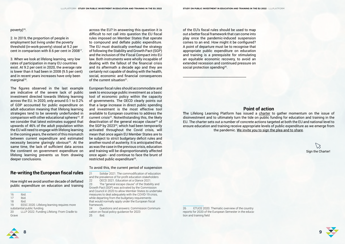### poverty) $16$ .

of the EU's fiscal rules should be used to map out a better fiscal framework that can come into play once the pandemic-induced suspension comes to an end. How might it be configured? A point of departure must be to recognise that appropriate public expenditure on education and training is a prerequisite for stimulating an equitable economic recovery, to avoid an extended recession and continued pressure on social protection spending<sup>26</sup>.

 $\overline{\phantom{a}}$  , and the set of the set of the set of the set of the set of the set of the set of the set of the set of the set of the set of the set of the set of the set of the set of the set of the set of the set of the s

<sup>26</sup> [ETUCE 2020. Thematic overview of the country](https://www.csee-etuce.org/images/attachments/2020_Country_Reports_Education__Training_final.pdf)  [reports for 2020 of the European Semester in the educa](https://www.csee-etuce.org/images/attachments/2020_Country_Reports_Education__Training_final.pdf)[tion and training field](https://www.csee-etuce.org/images/attachments/2020_Country_Reports_Education__Training_final.pdf)



3. When we look at lifelong learning, very low rates of participation in many EU countries exist. At 9.2 per cent in 2020, the average rate is lower than it had been in 2008 (9.5 per cent) and in recent years increases have only been  $marginal<sup>18</sup>$ .

2. In 2019, the proportion of people in employment but living under the poverty threshold (in-work-poverty) stood at 9.2 per cent in comparison with 8.6 per cent in 200817.

across the EU? In answering this question it is difficult to not call into question the EU fiscal rules imposed on Member States that operate to compound and deflate public expenditure. The EU must drastically overhaul the strategy of following the Stability and Growth Pact (SGP) and the inclusion of the Fiscal Compact into EU law. Both instruments were wholly incapable of dealing with the fallout of the financial crisis and its aftermath a decade ago and they are certainly not capable of dealing with the health, social, economic and financial consequences of the current situation<sup>21</sup>.

European fiscal rules should accommodate and seek to encourage public investment as a basic tool of economic policy within the capacity of governments. The OECD clearly points out that a large increase in direct public spending and investment is the most effective tool available to European countries to address the current crisis<sup>22</sup>. Notwithstanding this, the likely deactivation of the general escape clause<sup>23</sup> of the SGP by 202324, which had been temporarily activated throughout the Covid crisis, will mean that once again EU Member States are to be subject to strict budgetary deficit rules and another round of austerity. It is anticipated that, as was the case in the previous crisis, education and training will be disproportionately affected once again - and continue to face the brunt of restricted public expenditure<sup>25</sup>.

The figures observed in the last example are indicative of the severe lack of public investment directed towards lifelong learning across the EU. In 2020, only around 0.1 to 0.2% of GDP accounted for public expenditure on adult education meaning that lifelong learning strategies tend to be severely underfunded in comparison with other educational spheres<sup>19</sup>. If we consider that latest estimates suggest that upwards of 46% of the adult population within the EU will need to engage with lifelong learning in the coming years, the extent of this mismatch between current expenditure and estimated necessity become glaringly obvious $20$ . At the same time, the lack of sufficient data across the continent on government expenditure on lifelong learning prevents us from drawing deeper conclusions.

## **Re-writing the European fiscal rules**

How might we avoid another decade of deflated public expenditure on education and training

### To avoid this, the current period of suspension

21 [Solidar 2021. The commodification of education](https://www.solidar.org/system/downloads/attachments/000/001/374/original/SOLIDAR_Foundation_Policy_Paper_on_the_Commodification_of_Education_October_2021.pdf?1633423601)  [and the prevalence of for-profit education stakeholders](https://www.solidar.org/system/downloads/attachments/000/001/374/original/SOLIDAR_Foundation_Policy_Paper_on_the_Commodification_of_Education_October_2021.pdf?1633423601)

22 [OECD 2021. Education at a Glance 2021](https://www.oecd-ilibrary.org/education/education-at-a-glance-2021_b35a14e5-en).

23 The "general escape clause" of the Stability and Growth Pact (SGP) was activated by the Commission and Council in 2020 to allow Member States to undertake measures to deal adequately with the COVID-19 crisis, while departing from the budgetary requirements that would normally apply under the European fiscal framework.

24 [Questions and answers: Commission Communi](https://www.eumonitor.eu/9353000/1/j9vvik7m1c3gyxp/vlqwi7g0kczc?ctx=vg9pil5lzczq)[cation on fiscal policy guidance for 2023](https://www.eumonitor.eu/9353000/1/j9vvik7m1c3gyxp/vlqwi7g0kczc?ctx=vg9pil5lzczq) 25 Ibid.

### **Point of action**

**T**he Lifelong Learning Platform has issued a [charter](https://docs.google.com/document/d/13UbYsynGzfaS1a_mxbSXWte3R_kbRP6xr1tOrr1iQQA/edit) to gather momentum on the issue of disinvestment and to ultimately turn the tide on public funding for education and training in the EU. The charter sets out a number of concrete actions targeted at both the EU and national level to ensure education and training receive appropriate levels of public expenditure as we emerge from the pandemic. We invite you to sign the plea and to [share](https://docs.google.com/forms/d/1uaokM1bYLWSieftksVi_bJPKXcSUHvVqIKw4SqC3U4Q/edit).

Sign the Charter!



<sup>16</sup> Ibid.<br>17 Ibid.

Ibid.

<sup>18</sup> Ibid.

<sup>19</sup> [EESC 2020. Lifelong learning requires more](https://www.eesc.europa.eu/en/news-media/news/lifelong-learning-requires-more-substantial-public-funding-0)  [substantial public funding.](https://www.eesc.europa.eu/en/news-media/news/lifelong-learning-requires-more-substantial-public-funding-0)

<sup>20</sup> [LLLP 2022. Funding Lifelong: From Cradle to](https://lllplatform.eu/news/funding-lifelong-learning-from-cradle-to-grave/)  [Grave](https://lllplatform.eu/news/funding-lifelong-learning-from-cradle-to-grave/)